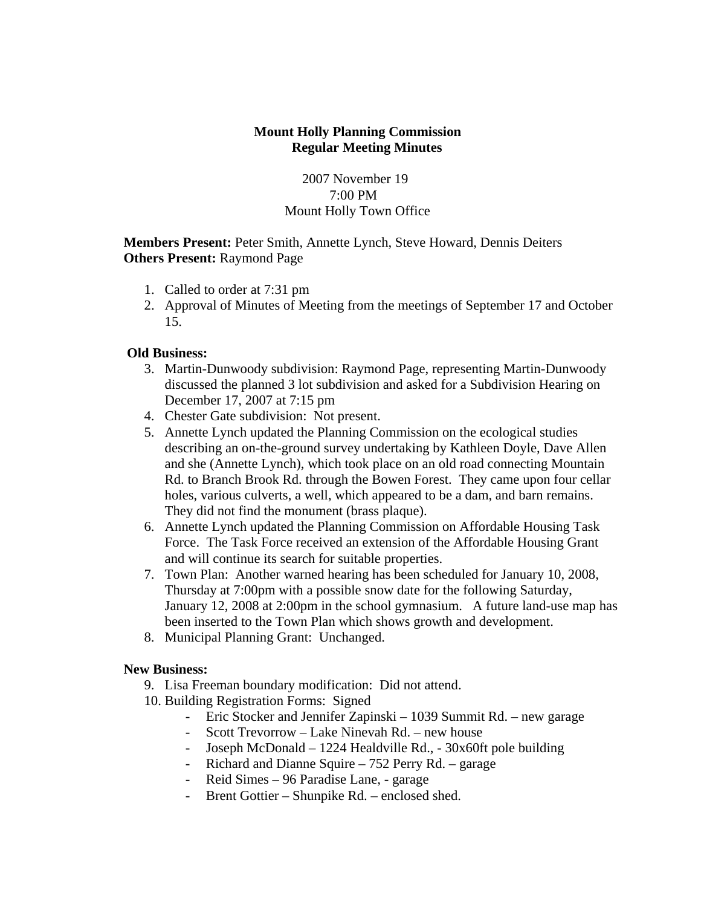# **Mount Holly Planning Commission Regular Meeting Minutes**

2007 November 19 7:00 PM Mount Holly Town Office

**Members Present:** Peter Smith, Annette Lynch, Steve Howard, Dennis Deiters **Others Present:** Raymond Page

- 1. Called to order at 7:31 pm
- 2. Approval of Minutes of Meeting from the meetings of September 17 and October 15.

# **Old Business:**

- 3. Martin-Dunwoody subdivision: Raymond Page, representing Martin-Dunwoody discussed the planned 3 lot subdivision and asked for a Subdivision Hearing on December 17, 2007 at 7:15 pm
- 4. Chester Gate subdivision: Not present.
- 5. Annette Lynch updated the Planning Commission on the ecological studies describing an on-the-ground survey undertaking by Kathleen Doyle, Dave Allen and she (Annette Lynch), which took place on an old road connecting Mountain Rd. to Branch Brook Rd. through the Bowen Forest. They came upon four cellar holes, various culverts, a well, which appeared to be a dam, and barn remains. They did not find the monument (brass plaque).
- 6. Annette Lynch updated the Planning Commission on Affordable Housing Task Force. The Task Force received an extension of the Affordable Housing Grant and will continue its search for suitable properties.
- 7. Town Plan: Another warned hearing has been scheduled for January 10, 2008, Thursday at 7:00pm with a possible snow date for the following Saturday, January 12, 2008 at 2:00pm in the school gymnasium. A future land-use map has been inserted to the Town Plan which shows growth and development.
- 8. Municipal Planning Grant: Unchanged.

## **New Business:**

- 9. Lisa Freeman boundary modification: Did not attend.
- 10. Building Registration Forms: Signed
	- Eric Stocker and Jennifer Zapinski 1039 Summit Rd. new garage
	- Scott Trevorrow Lake Ninevah Rd. new house
	- Joseph McDonald 1224 Healdville Rd., 30x60ft pole building
	- Richard and Dianne Squire 752 Perry Rd. garage
	- Reid Simes 96 Paradise Lane, garage
	- Brent Gottier Shunpike Rd. enclosed shed.